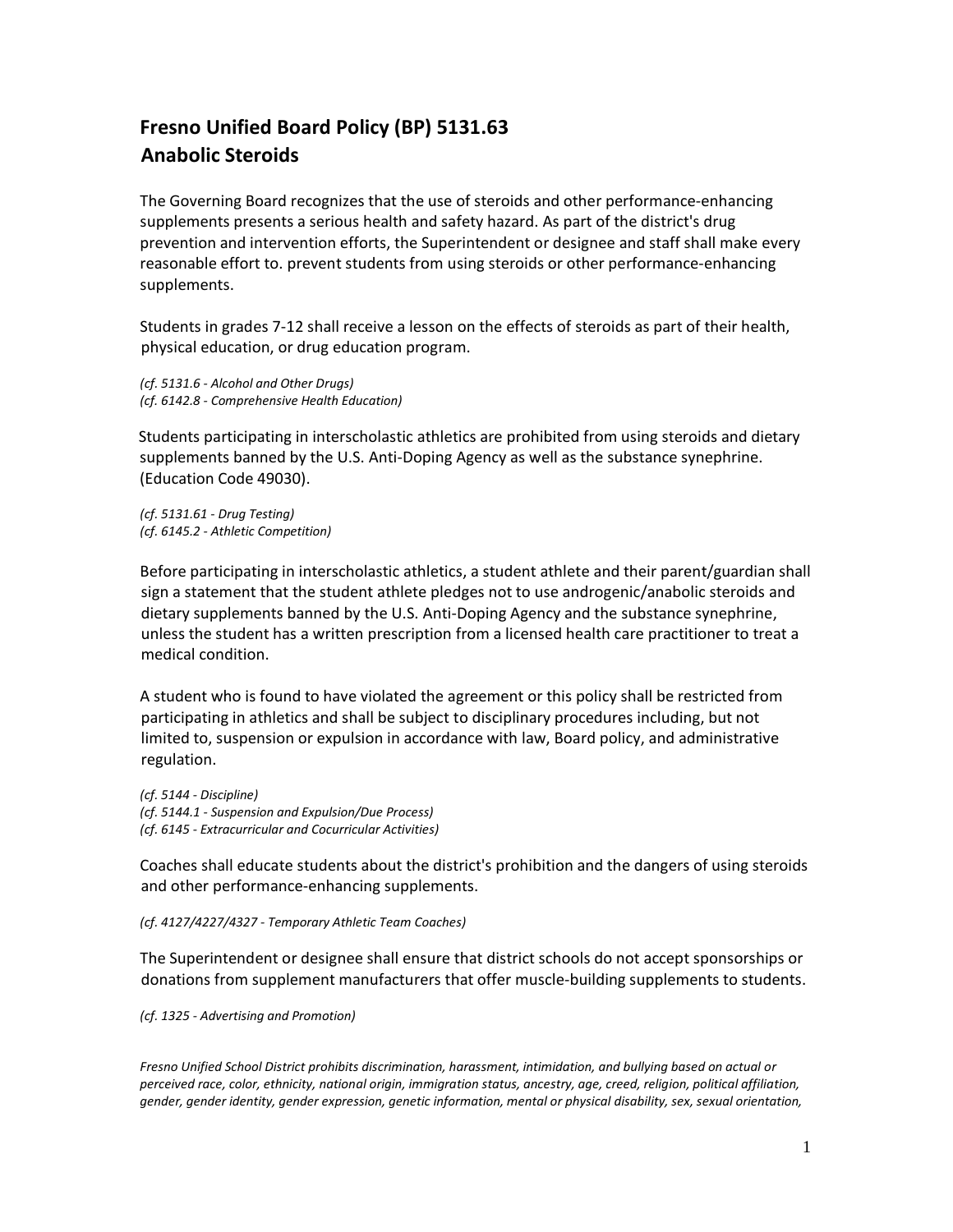## **Fresno Unified Board Policy (BP) 5131.63 Anabolic Steroids**

The Governing Board recognizes that the use of steroids and other performance-enhancing supplements presents a serious health and safety hazard. As part of the district's drug prevention and intervention efforts, the Superintendent or designee and staff shall make every reasonable effort to. prevent students from using steroids or other performance-enhancing supplements.

Students in grades 7-12 shall receive a lesson on the effects of steroids as part of their health, physical education, or drug education program.

*(cf. 5131.6 - Alcohol and Other Drugs) (cf. 6142.8 - Comprehensive Health Education)*

Students participating in interscholastic athletics are prohibited from using steroids and dietary supplements banned by the U.S. Anti-Doping Agency as well as the substance synephrine. (Education Code 49030).

*(cf. 5131.61 - Drug Testing) (cf. 6145.2 - Athletic Competition)*

Before participating in interscholastic athletics, a student athlete and their parent/guardian shall sign a statement that the student athlete pledges not to use androgenic/anabolic steroids and dietary supplements banned by the U.S. Anti-Doping Agency and the substance synephrine, unless the student has a written prescription from a licensed health care practitioner to treat a medical condition.

A student who is found to have violated the agreement or this policy shall be restricted from participating in athletics and shall be subject to disciplinary procedures including, but not limited to, suspension or expulsion in accordance with law, Board policy, and administrative regulation.

*(cf. 5144 - Discipline) (cf. 5144.1 - Suspension and Expulsion/Due Process) (cf. 6145 - Extracurricular and Cocurricular Activities)*

Coaches shall educate students about the district's prohibition and the dangers of using steroids and other performance-enhancing supplements.

*(cf. 4127/4227/4327 - Temporary Athletic Team Coaches)*

The Superintendent or designee shall ensure that district schools do not accept sponsorships or donations from supplement manufacturers that offer muscle-building supplements to students.

*(cf. 1325 - Advertising and Promotion)*

*Fresno Unified School District prohibits discrimination, harassment, intimidation, and bullying based on actual or perceived race, color, ethnicity, national origin, immigration status, ancestry, age, creed, religion, political affiliation, gender, gender identity, gender expression, genetic information, mental or physical disability, sex, sexual orientation,*